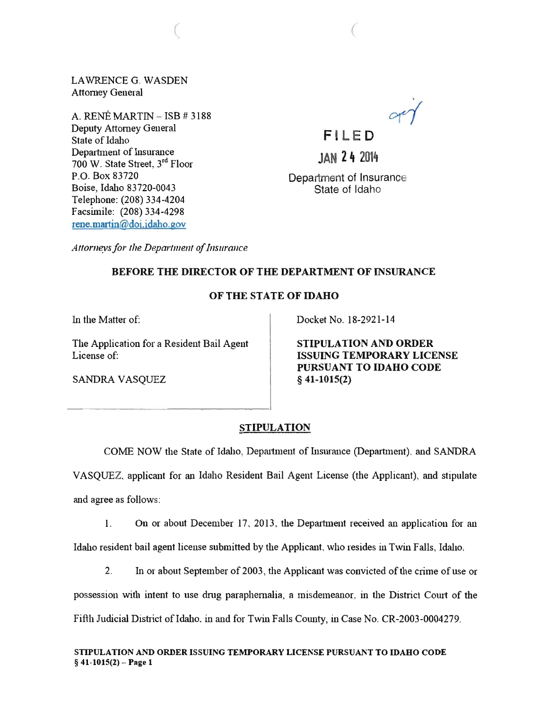LAWRENCE G. WASDEN Attorney General

(

A. RENÉ MARTIN  $=$  ISB  $\#$  3188 Deputy Attorney General State of Idaho Department of Insurance 700 W. State Street, 3rd Floor P.O. Box 83720 Boise, Idaho 83720-0043 Telephone: (208) 334-4204 Facsimile: (208) 334-4298 rene.martin@doi.idaho.gov

 $or 1$ **FI LED** 

**JAN 24 2014** 

Department of Insurance State of Idaho

Attorneys for the Department of Insurance

## BEFORE THE DIRECTOR OF THE DEPARTMENT OF INSURANCE

## OF THE STATE OF IDAHO

In the Matter of:

The Application for a Resident Bail Agent License of:

Docket No. 18-2921-14

STIPULATION AND ORDER ISSUING TEMPORARY LICENSE PURSUANT TO IDAHO CODE § 41-1015(2)

SANDRA VASQUEZ

## STIPULATION

COME NOW the State of Idaho, Department of Insurance (Department), and SANDRA VASQUEZ, applicant for an Idaho Resident Bail Agent License (the Applicant), and stipulate

and agree as follows:

1. On or about December 17, 2013 , the Depmtment received an application for an Idaho resident bail agent license submitted by the Applicant, who resides in Twin Falls, Idaho.

2. In or about September of 2003, the Applicant was convicted of the crime of use or

possession with intent to use drug paraphernalia, a misdemeanor in the District Court of the Fifth Judicial District of Idaho. in and for Twin Falls County, in Case No. CR-2003-0004279.

STIPULATION AND ORDER ISSUING TEMPORARY LICENSE PURSUANT TO IDAHO CODE  $§$  41-1015(2) – Page 1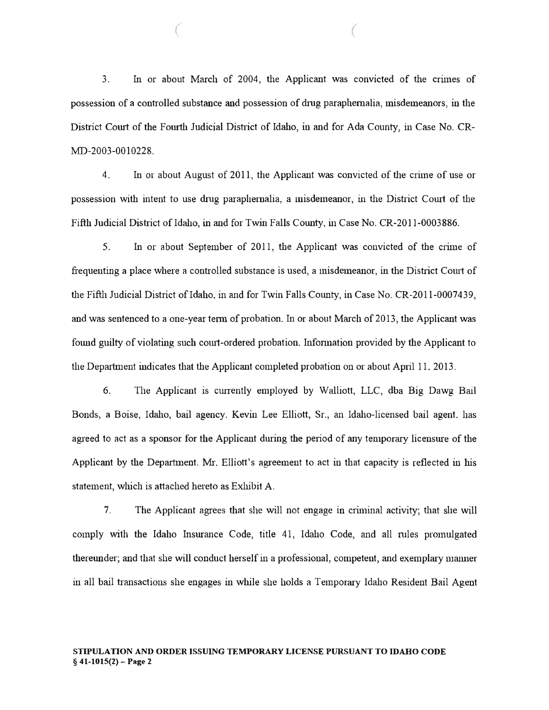3. In or about March of 2004, the Applicant was convicted of the crimes of possession of a controlled substance and possession of drug paraphernalia, misdemeanors, in the District Court of the Fourth Judicial District of Idaho, in and for Ada County, in Case No. CR-MD-2003-0010228.

 $($ 

4. In or about August of 2011, the Applicant was convicted of the crime of use or possession with intent to use drug paraphernalia, a misdemeanor, in the District Court of the Fifth Judicial District of Idaho, in and for Twin Falls County, in Case No. CR-2011-0003886.

5. In or about September of 2011, the Applicant was convicted of the crime of frequenting a place where a controlled substance is used, a misdemeanor, in the District Comt of the Fifth Judicial District of Idaho, in and for Twin Falls County, in Case No. CR-2011-0007439, and was sentenced to a one-year term of probation. In or about March of 2013, the Applicant was found guilty of violating such court-ordered probation. Information provided by the Applicant to the Department indicates that the Applicant completed probation on or about April 11. 2013.

6. The Applicant is currently employed by Walliott, LLC, dba Big Dawg Bail Bonds, a Boise, Idaho, bail agency. Kevin Lee Elliott, Sr., an Idaho-licensed bail agent. has agreed to act as a sponsor for the Applicant during the period of any temporary licensure of the Applicant by the Department. Mr. Elliott's agreement to act in that capacity is reflected in his statement, which is attached hereto as Exhibit A.

7. The Applicant agrees that she will not engage in criminal activity; that she will comply with the Idaho Insurance Code, title 41, Idaho Code, and all rules promulgated thereunder; and that she will conduct herself in a professional, competent, and exemplary manner in all bail transactions she engages in while she holds a Temporary Idaho Resident Bail Agent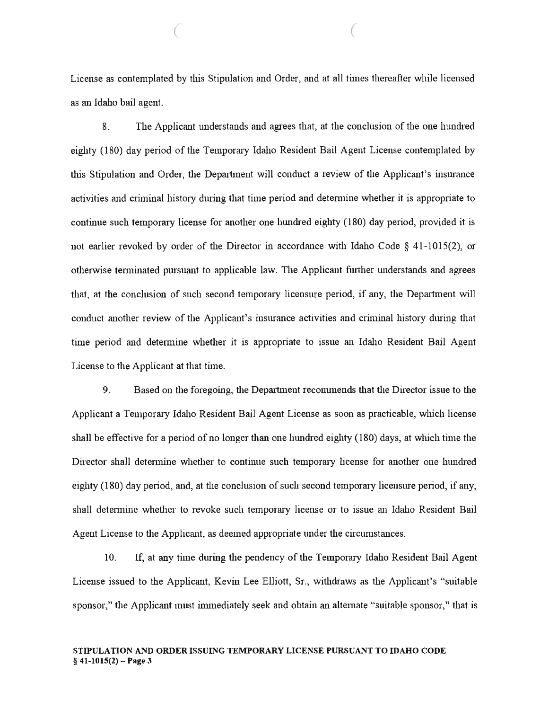License as contemplated by this Stipulation and Order, and at all times thereafter while licensed as an Idaho bail agent.

(

8. The Applicant understands and agrees that, at the conclusion of the one hundred eighty (180) day period of the Temporary Idaho Resident Bail Agent License contemplated by this Stipulation and Order, the Department will conduct a review of the Applicant's insurance activities and criminal history during that time period and determine whether it is appropriate to continue such temporary license for another one hundred eighty (180) day period, provided it is not earlier revoked by order of the Director in accordance with Idaho Code § 41-1015(2), or otherwise terminated pursuant to applicable law. The Applicant further understands and agrees that, at the conclusion of such second temporary licensure period, if any, the Department will conduct another review of the Applicant's insurance activities and criminal history during that time period and determine whether it is appropriate to issue an Idaho Resident Bail Agent License to the Applicant at that time.

9. Based on the foregoing, the Department recommends that the Director issue to the Applicant a Temporary Idaho Resident Bail Agent License as soon as practicable, which license shall be effective for a period of no longer than one hundred eighty  $(180)$  days, at which time the Director shall determine whether to continue such temporary license for another one hundred eighty (180) day period, and, at the conclusion of such second temporary licensure period, if any, shall determine whether to revoke such temporary license or to issue an Idaho Resident Bail Agent License to the Applicant, as deemed appropriate under the circumstances.

10. If, at any time during the pendency of the Temporary Idaho Resident Bail Agent License issued to the Applicant, Kevin Lee Elliott, Sr., withdraws as the Applicant's "suitable sponsor," the Applicant must immediately seek and obtain an alternate "suitable sponsor," that is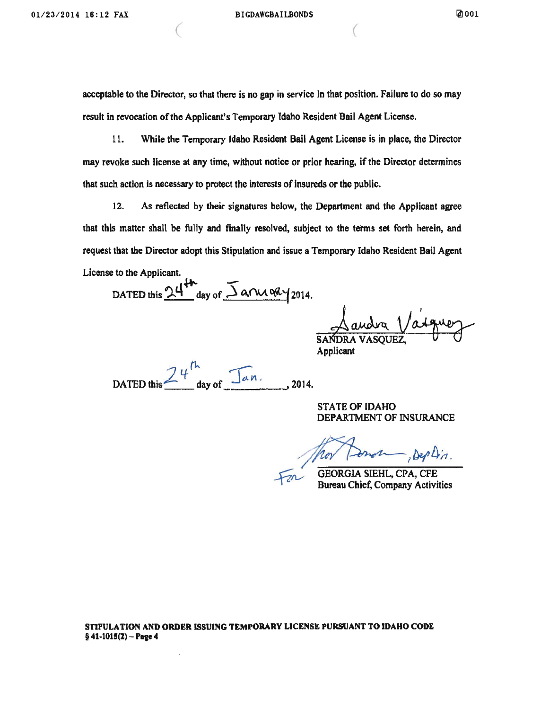$($ 

acceptable to the Director, so that there is no gap in service in that position. Failure to do so may result in revocation of the Applicant's Temporary Idaho Resident Bail Agent License.

11. While the Temporary Idaho Resident Bail Agent License is in place, the Director may revoke such license at any time, without notice or prior hearing, if the Director determines that such action is necessary to protect the interests of insureds or the public.

12. As reflected by their signatures below, the Department and the Applicant agree that this matter shall be fully and finally resolved, subject to the terms set forth herein, and request that the Director adopt this Stipulation and issue a Temporary Idaho Resident Bail Agent License to the Applicant.

DATED this  $24^{44}$  day of  $\overline{\Delta}$  and 9Ry 2014.

Landra Vaiguez

**Applicant** 

DATED this  $24^{h}$  day of  $\sqrt{a}n$ .

STATE OF IDAHO DEPARTMENT OF INSURANCE

Denom, Dep Din.

GEORGIA SIEHL, CPA, CFE

Bureau Chief, Company Activities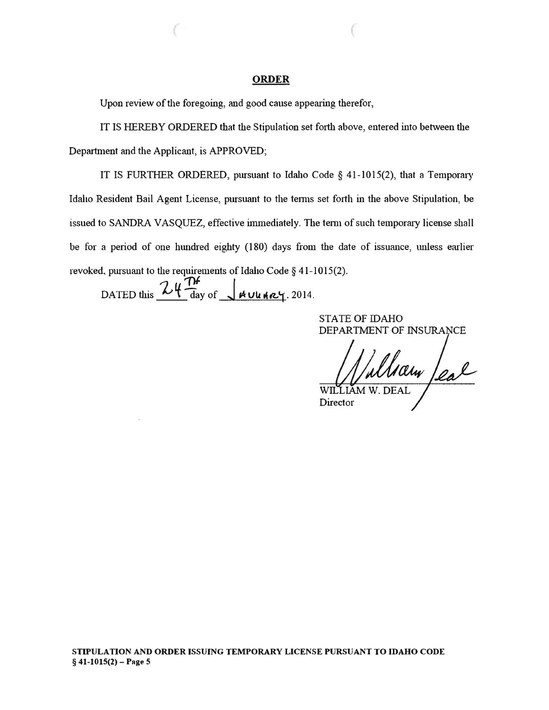#### ORDER

 $($  (

Upon review of the foregoing, and good cause appearing therefor,

IT IS HEREBY ORDERED that the Stipulation set forth above, entered into between the Department and the Applicant, is APPROVED;

IT IS FURTHER ORDERED, pursuant to Idaho Code § 41-1015(2), that a Temporary Idaho Resident Bail Agent License, pursuant to the terms set forth in the above Stipulation, be issued to SANDRA VASQUEZ, effective immediately. The term of such temporary license shall be for a period of one hundred eighty (180) days from the date of issuance, unless earlier revoked, pursuant to the requirements of Idaho Code § 41-1015(2).

DATED this  $24 \frac{N}{\text{day of}}$   $4 \frac{\mu v u \mu z}{2014}$ .

STATE OF IDAHO DEPARTMENT OF INSURANCE

WILLIAM W. DEAL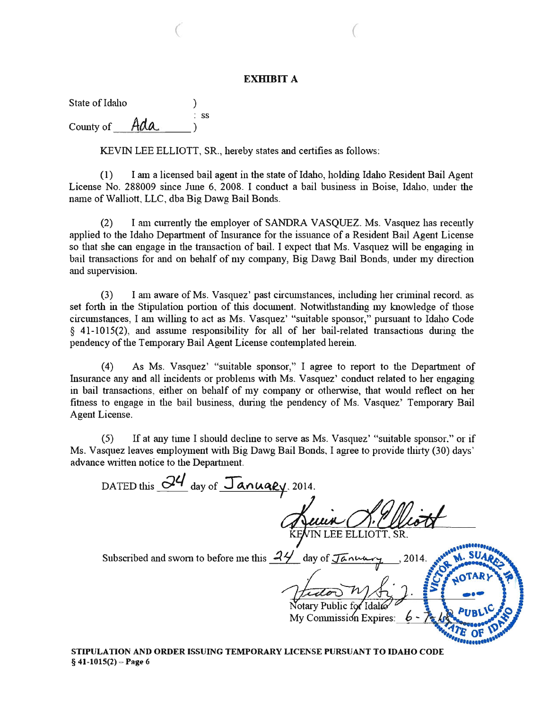#### **EXHIBIT A**

 $($ 

State of Idaho (1999) : ss County of  $\theta$  Ada

KEVIN LEE ELLIOTT, SR., hereby states and certifies as follows:

(1) I am a licensed bail agent in the state of Idaho, holding Idaho Resident Bail Agent License No. 288009 since June 6, 2008. I conduct a bail business in Boise, Idaho, under the name of Walliott, LLC, dba Big Dawg Bail Bonds.

(2) I am currently the employer of SANDRA VASQUEZ. Ms. Vasquez has recently applied to the Idaho Department of Insurance for the issuance of a Resident Bail Agent License so that she can engage in the transaction of bail. I expect that Ms. Vasquez will be engaging in bail transactions for and on behalf of my company, Big Dawg Bail Bonds, under my direction and supervision.

 $(3)$  I am aware of Ms. Vasquez' past circumstances, including her criminal record, as set forth in the Stipulation portion of this document. Notwithstanding my knowledge of those circumstances, I am willing to act as Ms. Vasquez' "suitable sponsor," pursuant to Idaho Code § 41 -1015(2), and assume responsibility for all of her bail-related transactions during the pendency of the Temporary Bail Agent License contemplated herein.

(4) As Ms. Vasquez' "suitable sponsor," I agree to report to the Department of Insurance any and all incidents or problems with Ms. Vasquez' conduct related to her engaging in bail transactions, either on behalf of my company or otherwise, that would reflect on her fitness to engage in the bail business, during the pendency of Ms. Vasquez' Temporary Bail Agent License.

(5) If at any time I should decline to serve as Ms. Vasquez' "suitable sponsor." or if Ms. Vasquez leaves employment with Big Dawg Bail Bonds, I agree to provide thirty (30) days' advance written notice to the Department.

DATED this  $\frac{d^2}{dx^2}$  day of  $\frac{\pi}{4}$  **January** . 2014. Subscribed and sworn to before me this  $.44'$  day of  $J\bar{\alpha}$  num 2014. Notary Public for 'Idalt My Commission Expires:

STIPULATION AND ORDER ISSUING TEMPORARY LICENSE PURSUANT TO IDAHO CODE  $§$  41-1015(2) – Page 6